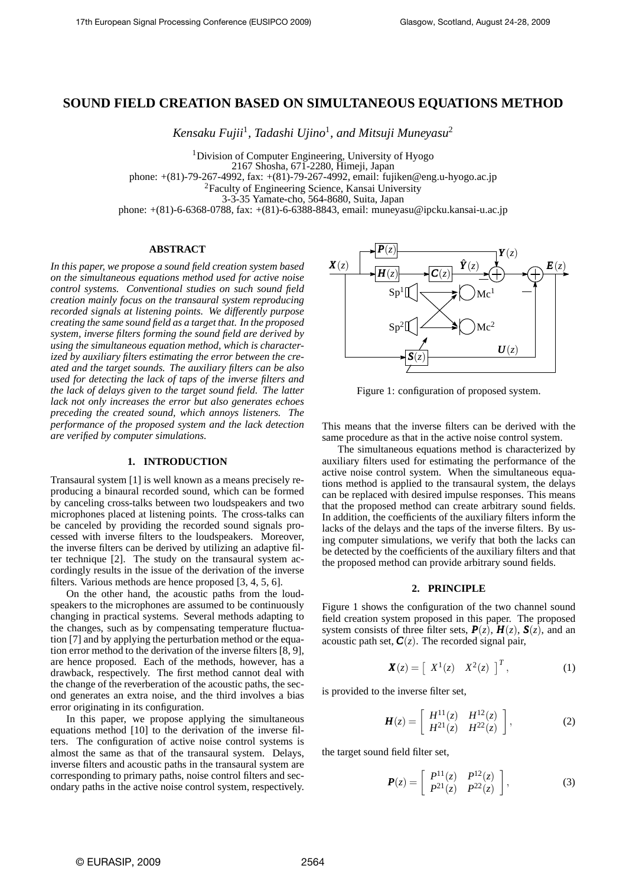# **SOUND FIELD CREATION BASED ON SIMULTANEOUS EQUATIONS METHOD**

*Kensaku Fujii*<sup>1</sup> *, Tadashi Ujino*<sup>1</sup> *, and Mitsuji Muneyasu*<sup>2</sup>

<sup>1</sup>Division of Computer Engineering, University of Hyogo 2167 Shosha, 671-2280, Himeji, Japan phone: +(81)-79-267-4992, fax: +(81)-79-267-4992, email: fujiken@eng.u-hyogo.ac.jp <sup>2</sup>Faculty of Engineering Science, Kansai University 3-3-35 Yamate-cho, 564-8680, Suita, Japan

phone: +(81)-6-6368-0788, fax: +(81)-6-6388-8843, email: muneyasu@ipcku.kansai-u.ac.jp

# **ABSTRACT**

*In this paper, we propose a sound field creation system based on the simultaneous equations method used for active noise control systems. Conventional studies on such sound field creation mainly focus on the transaural system reproducing recorded signals at listening points. We differently purpose creating the same sound field as a target that. In the proposed system, inverse filters forming the sound field are derived by using the simultaneous equation method, which is characterized by auxiliary filters estimating the error between the created and the target sounds. The auxiliary filters can be also used for detecting the lack of taps of the inverse filters and the lack of delays given to the target sound field. The latter lack not only increases the error but also generates echoes preceding the created sound, which annoys listeners. The performance of the proposed system and the lack detection are verified by computer simulations.*

## **1. INTRODUCTION**

Transaural system [1] is well known as a means precisely reproducing a binaural recorded sound, which can be formed by canceling cross-talks between two loudspeakers and two microphones placed at listening points. The cross-talks can be canceled by providing the recorded sound signals processed with inverse filters to the loudspeakers. Moreover, the inverse filters can be derived by utilizing an adaptive filter technique [2]. The study on the transaural system accordingly results in the issue of the derivation of the inverse filters. Various methods are hence proposed [3, 4, 5, 6].

On the other hand, the acoustic paths from the loudspeakers to the microphones are assumed to be continuously changing in practical systems. Several methods adapting to the changes, such as by compensating temperature fluctuation [7] and by applying the perturbation method or the equation error method to the derivation of the inverse filters [8, 9], are hence proposed. Each of the methods, however, has a drawback, respectively. The first method cannot deal with the change of the reverberation of the acoustic paths, the second generates an extra noise, and the third involves a bias error originating in its configuration.

In this paper, we propose applying the simultaneous equations method [10] to the derivation of the inverse filters. The configuration of active noise control systems is almost the same as that of the transaural system. Delays, inverse filters and acoustic paths in the transaural system are corresponding to primary paths, noise control filters and secondary paths in the active noise control system, respectively.



Figure 1: configuration of proposed system.

This means that the inverse filters can be derived with the same procedure as that in the active noise control system.

The simultaneous equations method is characterized by auxiliary filters used for estimating the performance of the active noise control system. When the simultaneous equations method is applied to the transaural system, the delays can be replaced with desired impulse responses. This means that the proposed method can create arbitrary sound fields. In addition, the coefficients of the auxiliary filters inform the lacks of the delays and the taps of the inverse filters. By using computer simulations, we verify that both the lacks can be detected by the coefficients of the auxiliary filters and that the proposed method can provide arbitrary sound fields.

#### **2. PRINCIPLE**

Figure 1 shows the configuration of the two channel sound field creation system proposed in this paper. The proposed system consists of three filter sets,  $P(z)$ ,  $H(z)$ ,  $S(z)$ , and an acoustic path set,  $C(z)$ . The recorded signal pair,

$$
\boldsymbol{X}(z) = \begin{bmatrix} X^1(z) & X^2(z) \end{bmatrix}^T, \tag{1}
$$

is provided to the inverse filter set,

$$
\boldsymbol{H}(z) = \begin{bmatrix} H^{11}(z) & H^{12}(z) \\ H^{21}(z) & H^{22}(z) \end{bmatrix},
$$
 (2)

the target sound field filter set,

$$
\boldsymbol{P}(z) = \begin{bmatrix} P^{11}(z) & P^{12}(z) \\ P^{21}(z) & P^{22}(z) \end{bmatrix},
$$
 (3)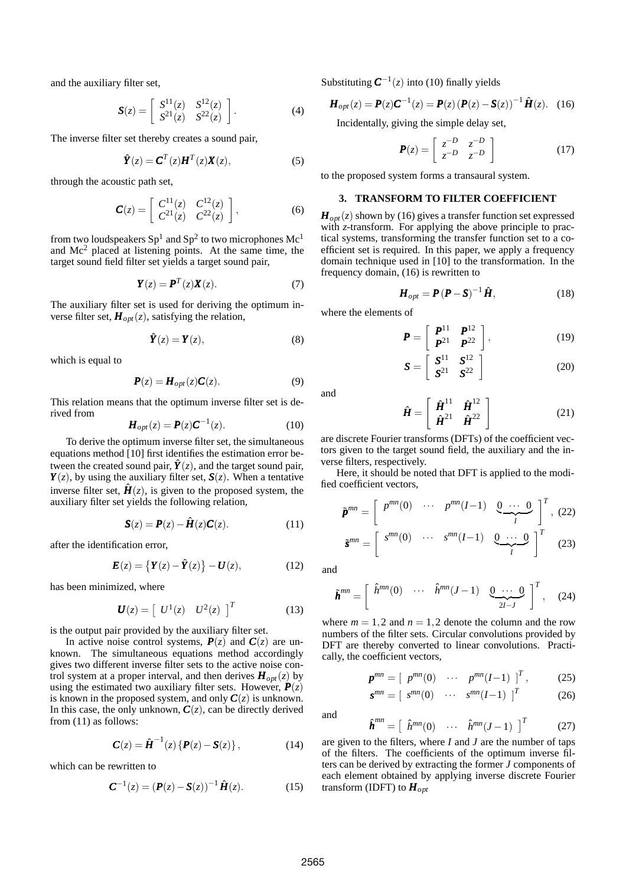and the auxiliary filter set,

$$
\mathbf{S}(z) = \begin{bmatrix} S^{11}(z) & S^{12}(z) \\ S^{21}(z) & S^{22}(z) \end{bmatrix}.
$$
 (4)

The inverse filter set thereby creates a sound pair,

$$
\hat{\boldsymbol{Y}}(z) = \boldsymbol{C}^T(z)\boldsymbol{H}^T(z)\boldsymbol{X}(z),
$$
\n(5)

through the acoustic path set,

$$
\mathbf{C}(z) = \begin{bmatrix} C^{11}(z) & C^{12}(z) \\ C^{21}(z) & C^{22}(z) \end{bmatrix},
$$
(6)

from two loudspeakers  $Sp^1$  and  $Sp^2$  to two microphones  $Mc^1$ and  $Mc<sup>2</sup>$  placed at listening points. At the same time, the target sound field filter set yields a target sound pair,

$$
\boldsymbol{Y}(z) = \boldsymbol{P}^T(z)\boldsymbol{X}(z). \tag{7}
$$

The auxiliary filter set is used for deriving the optimum inverse filter set,  $\mathbf{H}_{opt}(z)$ , satisfying the relation,

$$
\hat{\mathbf{Y}}(z) = \mathbf{Y}(z),\tag{8}
$$

which is equal to

$$
\boldsymbol{P}(z) = \boldsymbol{H}_{opt}(z)\boldsymbol{C}(z). \tag{9}
$$

This relation means that the optimum inverse filter set is derived from

$$
\boldsymbol{H}_{opt}(z) = \boldsymbol{P}(z)\boldsymbol{C}^{-1}(z). \tag{10}
$$

To derive the optimum inverse filter set, the simultaneous equations method [10] first identifies the estimation error between the created sound pair,  $\hat{Y}(z)$ , and the target sound pair,  $Y(z)$ , by using the auxiliary filter set,  $S(z)$ . When a tentative inverse filter set,  $\hat{H}(z)$ , is given to the proposed system, the auxiliary filter set yields the following relation,

$$
\mathbf{S}(z) = \mathbf{P}(z) - \hat{\mathbf{H}}(z)\mathbf{C}(z). \tag{11}
$$

after the identification error,

$$
\boldsymbol{E}(z) = \left\{ \boldsymbol{Y}(z) - \boldsymbol{\hat{Y}}(z) \right\} - \boldsymbol{U}(z), \tag{12}
$$

has been minimized, where

$$
\boldsymbol{U}(z) = \begin{bmatrix} U^1(z) & U^2(z) \end{bmatrix}^T
$$
 (13)

is the output pair provided by the auxiliary filter set.

In active noise control systems,  $P(z)$  and  $C(z)$  are unknown. The simultaneous equations method accordingly gives two different inverse filter sets to the active noise control system at a proper interval, and then derives  $\boldsymbol{H}_{opt}(z)$  by using the estimated two auxiliary filter sets. However,  $P(z)$ is known in the proposed system, and only  $C(z)$  is unknown. In this case, the only unknown,  $C(z)$ , can be directly derived from (11) as follows:

$$
\mathbf{C}(z) = \hat{\mathbf{H}}^{-1}(z) \left\{ \mathbf{P}(z) - \mathbf{S}(z) \right\},\tag{14}
$$

which can be rewritten to

$$
C^{-1}(z) = (P(z) - S(z))^{-1} \hat{H}(z).
$$
 (15)

Substituting  $C^{-1}(z)$  into (10) finally yields

$$
\bm{H}_{opt}(z) = \bm{P}(z)\bm{C}^{-1}(z) = \bm{P}(z)\left(\bm{P}(z) - \bm{S}(z)\right)^{-1}\hat{\bm{H}}(z). \quad (16)
$$

Incidentally, giving the simple delay set,

$$
\boldsymbol{P}(z) = \begin{bmatrix} z^{-D} & z^{-D} \\ z^{-D} & z^{-D} \end{bmatrix}
$$
 (17)

to the proposed system forms a transaural system.

# **3. TRANSFORM TO FILTER COEFFICIENT**

 $H_{opt}(z)$  shown by (16) gives a transfer function set expressed with *z*-transform. For applying the above principle to practical systems, transforming the transfer function set to a coefficient set is required. In this paper, we apply a frequency domain technique used in [10] to the transformation. In the frequency domain, (16) is rewritten to

$$
\boldsymbol{H}_{opt} = \boldsymbol{P}(\boldsymbol{P} - \boldsymbol{S})^{-1} \hat{\boldsymbol{H}},
$$
 (18)

where the elements of

$$
\boldsymbol{P} = \left[ \begin{array}{cc} \boldsymbol{P}^{11} & \boldsymbol{P}^{12} \\ \boldsymbol{P}^{21} & \boldsymbol{P}^{22} \end{array} \right],\tag{19}
$$

$$
\mathbf{S} = \left[ \begin{array}{cc} \mathbf{S}^{11} & \mathbf{S}^{12} \\ \mathbf{S}^{21} & \mathbf{S}^{22} \end{array} \right] \tag{20}
$$

and

$$
\hat{\boldsymbol{H}} = \left[ \begin{array}{cc} \hat{\boldsymbol{H}}^{11} & \hat{\boldsymbol{H}}^{12} \\ \hat{\boldsymbol{H}}^{21} & \hat{\boldsymbol{H}}^{22} \end{array} \right] \tag{21}
$$

are discrete Fourier transforms (DFTs) of the coefficient vectors given to the target sound field, the auxiliary and the inverse filters, respectively.

Here, it should be noted that DFT is applied to the modified coefficient vectors,

$$
\tilde{\boldsymbol{p}}^{mn} = \begin{bmatrix} p^{mn}(0) & \cdots & p^{mn}(I-1) & \underbrace{0 \cdots 0}_{I} \end{bmatrix}^{T}, (22)
$$

$$
\tilde{\boldsymbol{s}}^{mn} = \begin{bmatrix} s^{mn}(0) & \cdots & s^{mn}(I-1) & \underbrace{0 \cdots 0}_{I} \end{bmatrix}^{T} (23)
$$

and

$$
\tilde{\boldsymbol{h}}^{mn} = \left[ \begin{array}{cccc} \hat{h}^{mn}(0) & \cdots & \hat{h}^{mn}(J-1) & \underbrace{0 & \cdots & 0}_{2I-J} \end{array} \right]^T, \quad (24)
$$

where  $m = 1.2$  and  $n = 1.2$  denote the column and the row numbers of the filter sets. Circular convolutions provided by DFT are thereby converted to linear convolutions. Practically, the coefficient vectors,

$$
\bm{p}^{mn} = [p^{mn}(0) \cdots p^{mn}(I-1)]^{T}, \qquad (25)
$$

$$
\boldsymbol{s}^{mn} = \left[ \begin{array}{ccc} s^{mn}(0) & \cdots & s^{mn}(I-1) \end{array} \right]^T \tag{26}
$$

and

$$
\hat{\boldsymbol{h}}^{mn} = \begin{bmatrix} \hat{h}^{mn}(0) & \cdots & \hat{h}^{mn}(J-1) \end{bmatrix}^T \tag{27}
$$

are given to the filters, where *I* and *J* are the number of taps of the filters. The coefficients of the optimum inverse filters can be derived by extracting the former *J* components of each element obtained by applying inverse discrete Fourier transform (IDFT) to *Hopt*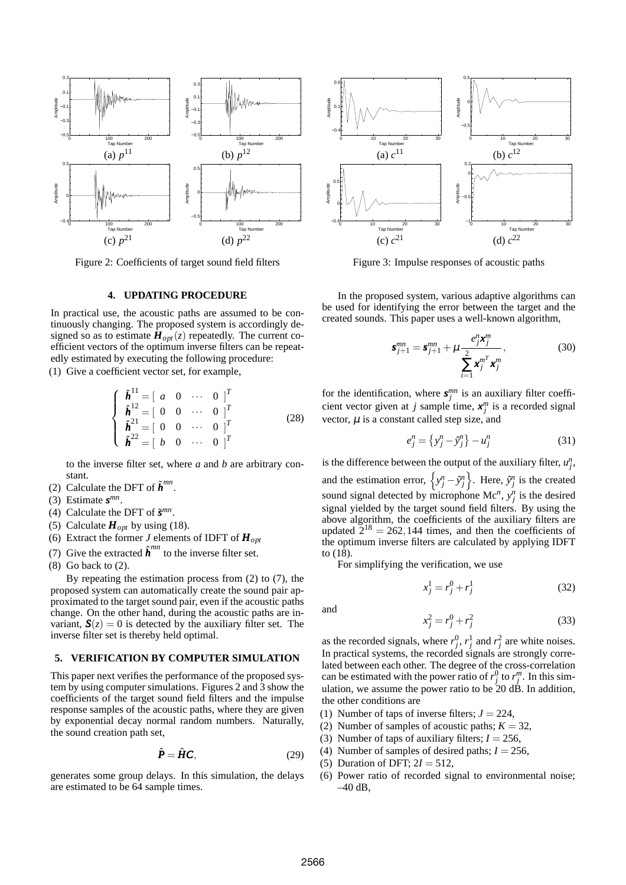

Figure 2: Coefficients of target sound field filters

# **4. UPDATING PROCEDURE**

In practical use, the acoustic paths are assumed to be continuously changing. The proposed system is accordingly designed so as to estimate  $H_{opt}(z)$  repeatedly. The current coefficient vectors of the optimum inverse filters can be repeatedly estimated by executing the following procedure:

(1) Give a coefficient vector set, for example,

$$
\begin{cases}\n\hat{\boldsymbol{h}}^{11} = [ \ \ a \ \ 0 \ \ \cdots \ \ 0 \ ]^T \\
\hat{\boldsymbol{h}}^{12} = [ \ \ 0 \ \ 0 \ \ \cdots \ \ 0 \ ]^T \\
\hat{\boldsymbol{h}}^{21} = [ \ \ 0 \ \ 0 \ \ \cdots \ \ 0 \ ]^T \\
\hat{\boldsymbol{h}}^{22} = [ \ \ b \ \ 0 \ \ \cdots \ \ 0 \ ]^T\n\end{cases} \tag{28}
$$

to the inverse filter set, where *a* and *b* are arbitrary constant.

- (2) Calculate the DFT of  $\tilde{h}^{mn}$ .
- (3) Estimate  $s^{mn}$ .
- (4) Calculate the DFT of  $\tilde{\mathbf{s}}^{mn}$ .
- (5) Calculate  $H_{opt}$  by using (18).
- (6) Extract the former *J* elements of IDFT of *Hopt*
- (7) Give the extracted  $\hat{\boldsymbol{h}}^{mn}$  to the inverse filter set.
- (8) Go back to (2).

By repeating the estimation process from (2) to (7), the proposed system can automatically create the sound pair approximated to the target sound pair, even if the acoustic paths change. On the other hand, during the acoustic paths are invariant,  $S(z) = 0$  is detected by the auxiliary filter set. The inverse filter set is thereby held optimal.

# **5. VERIFICATION BY COMPUTER SIMULATION**

This paper next verifies the performance of the proposed system by using computer simulations. Figures 2 and 3 show the coefficients of the target sound field filters and the impulse response samples of the acoustic paths, where they are given by exponential decay normal random numbers. Naturally, the sound creation path set,

$$
\hat{\boldsymbol{P}} = \hat{\boldsymbol{H}} \boldsymbol{C},\tag{29}
$$

generates some group delays. In this simulation, the delays are estimated to be 64 sample times.



Figure 3: Impulse responses of acoustic paths

In the proposed system, various adaptive algorithms can be used for identifying the error between the target and the created sounds. This paper uses a well-known algorithm,

$$
\mathbf{s}_{j+1}^{mn} = \mathbf{s}_{j+1}^{mn} + \mu \frac{e_j^n \mathbf{x}_j^m}{\sum_{i=1}^2 \mathbf{x}_j^{m^T} \mathbf{x}_j^m},
$$
(30)

for the identification, where  $s_j^{mn}$  is an auxiliary filter coefficient vector given at *j* sample time,  $x_j^m$  is a recorded signal vector,  $\mu$  is a constant called step size, and

$$
e_j^n = \{ y_j^n - \hat{y}_j^n \} - u_j^n \tag{31}
$$

is the difference between the output of the auxiliary filter,  $u_j^n$ , and the estimation error,  $\left\{ y_j^n - \hat{y}_j^n \right\}$ . Here,  $\hat{y}_j^n$  is the created sound signal detected by microphone Mc<sup>n</sup>,  $y_j^n$  is the desired signal yielded by the target sound field filters. By using the above algorithm, the coefficients of the auxiliary filters are updated  $2^{18} = 262, 144$  times, and then the coefficients of the optimum inverse filters are calculated by applying IDFT to (18).

For simplifying the verification, we use

$$
x_j^1 = r_j^0 + r_j^1 \tag{32}
$$

and

$$
x_j^2 = r_j^0 + r_j^2 \tag{33}
$$

as the recorded signals, where  $r_j^0$ ,  $r_j^1$  and  $r_j^2$  are white noises. In practical systems, the recorded signals are strongly correlated between each other. The degree of the cross-correlation can be estimated with the power ratio of  $r_j^0$  to  $r_j^m$ . In this simulation, we assume the power ratio to be  $20 \text{ dB}$ . In addition, the other conditions are

- (1) Number of taps of inverse filters;  $J = 224$ ,
- (2) Number of samples of acoustic paths;  $K = 32$ ,
- (3) Number of taps of auxiliary filters;  $I = 256$ ,
- (4) Number of samples of desired paths;  $I = 256$ ,
- (5) Duration of DFT;  $2I = 512$ ,
- (6) Power ratio of recorded signal to environmental noise;  $-40$  dB.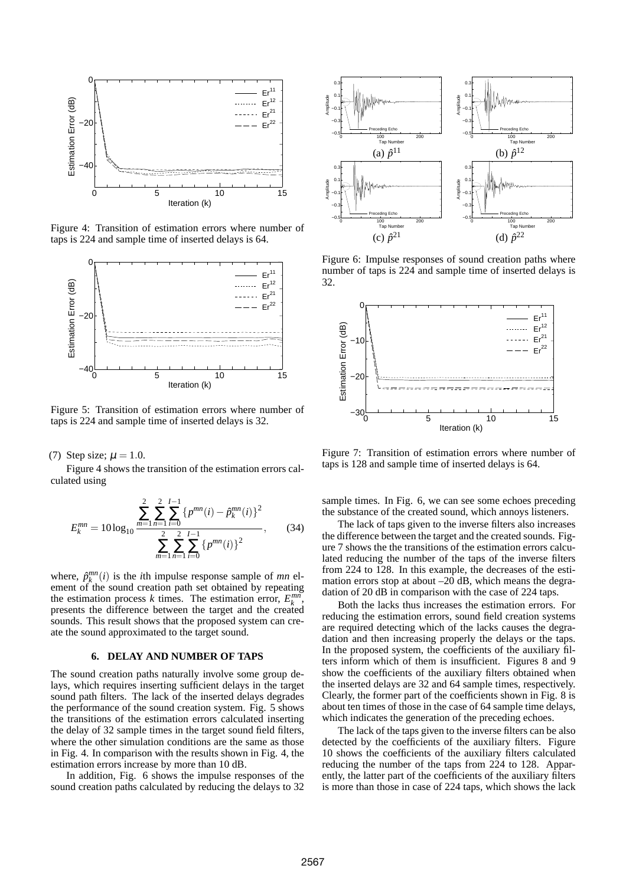

Figure 4: Transition of estimation errors where number of taps is 224 and sample time of inserted delays is 64.



Figure 5: Transition of estimation errors where number of taps is 224 and sample time of inserted delays is 32.

(7) Step size;  $\mu = 1.0$ .

Figure 4 shows the transition of the estimation errors calculated using

$$
E_k^{mn} = 10 \log_{10} \frac{\sum_{m=1}^2 \sum_{n=1}^2 \sum_{i=0}^{I-1} \{p^{mn}(i) - \hat{p}_k^{mn}(i)\}^2}{\sum_{m=1}^2 \sum_{n=1}^2 \sum_{i=0}^{I-1} \{p^{mn}(i)\}^2},
$$
(34)

where,  $\hat{p}^{mn}_{k}(i)$  is the *i*th impulse response sample of *mn* element of the sound creation path set obtained by repeating the estimation process *k* times. The estimation error,  $E_k^{mn}$ , presents the difference between the target and the created sounds. This result shows that the proposed system can create the sound approximated to the target sound.

### **6. DELAY AND NUMBER OF TAPS**

The sound creation paths naturally involve some group delays, which requires inserting sufficient delays in the target sound path filters. The lack of the inserted delays degrades the performance of the sound creation system. Fig. 5 shows the transitions of the estimation errors calculated inserting the delay of 32 sample times in the target sound field filters, where the other simulation conditions are the same as those in Fig. 4. In comparison with the results shown in Fig. 4, the estimation errors increase by more than 10 dB.

In addition, Fig. 6 shows the impulse responses of the sound creation paths calculated by reducing the delays to 32



Figure 6: Impulse responses of sound creation paths where number of taps is 224 and sample time of inserted delays is 32.



Figure 7: Transition of estimation errors where number of taps is 128 and sample time of inserted delays is 64.

sample times. In Fig. 6, we can see some echoes preceding the substance of the created sound, which annoys listeners.

The lack of taps given to the inverse filters also increases the difference between the target and the created sounds. Figure 7 shows the the transitions of the estimation errors calculated reducing the number of the taps of the inverse filters from 224 to 128. In this example, the decreases of the estimation errors stop at about –20 dB, which means the degradation of 20 dB in comparison with the case of 224 taps.

Both the lacks thus increases the estimation errors. For reducing the estimation errors, sound field creation systems are required detecting which of the lacks causes the degradation and then increasing properly the delays or the taps. In the proposed system, the coefficients of the auxiliary filters inform which of them is insufficient. Figures 8 and 9 show the coefficients of the auxiliary filters obtained when the inserted delays are 32 and 64 sample times, respectively. Clearly, the former part of the coefficients shown in Fig. 8 is about ten times of those in the case of 64 sample time delays, which indicates the generation of the preceding echoes.

The lack of the taps given to the inverse filters can be also detected by the coefficients of the auxiliary filters. Figure 10 shows the coefficients of the auxiliary filters calculated reducing the number of the taps from 224 to 128. Apparently, the latter part of the coefficients of the auxiliary filters is more than those in case of 224 taps, which shows the lack